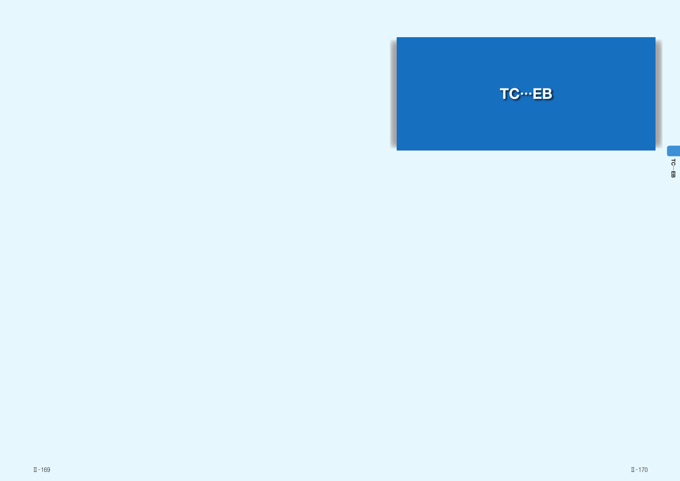

ನ …EB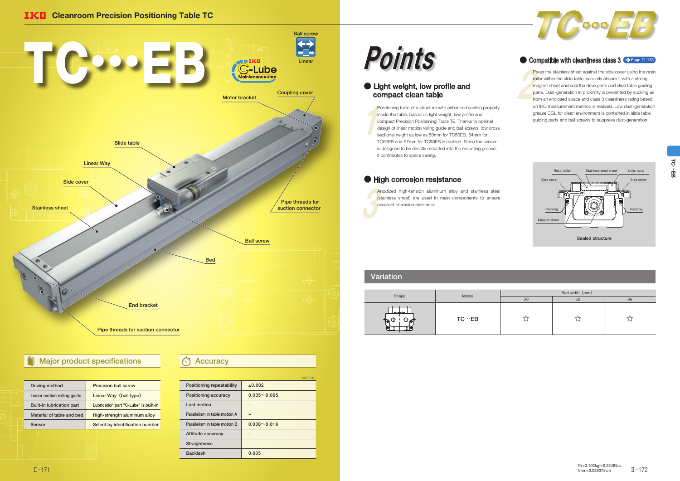| Driving method                   | <b>Precision ball screw</b>           |
|----------------------------------|---------------------------------------|
| Linear motion rolling guide      | Linear Way (ball type)                |
| <b>Built-in lubrication part</b> | Lubrication part "C-Lube" is built-in |
| Material of table and bed        | High-strength aluminum alloy          |
| Sensor                           | Select by identification number       |
|                                  |                                       |

 $\begin{bmatrix} 1 \\ 1 \\ 2 \\ 3 \\ 4 \end{bmatrix}$ Positioning table of a structure with enhanced sealing property inside the table, based on light weight, low profile and compact Precision Positioning Table TE. Thanks to optimal design of linear motion rolling guide and ball screws, low cross sectional height as low as 50mm for TC50EB, 54mm for TC60EB and 67mm for TC86EB is realized. Since the sensor is designed to be directly mounted into the mounting groove, it contributes to space saving.

### ● High corrosion resistance

# Points

Pre<br>
roll<br>
ma<br>
par<br>
frag Press the stainless sheet against the side cover using the resin roller within the slide table, securely absorb it with a strong magnet sheet and seal the drive parts and slide table guiding parts. Dust-generation in proximity is prevented by sucking air from an enclosed space and class 3 cleanliness rating based on IKO measurement method is realized. Low dust-generation grease CGL for clean environment is contained in slide table guiding parts and ball screws to suppress dust-generation.

And<br>
(sta<br>
exc Anodized high-tension aluminum alloy and stainless steel (stainless sheet) are used in main components to ensure excellent corrosion resistance.

|                               | unit: mm        |
|-------------------------------|-----------------|
| Positioning repeatability     | ±0.002          |
| Positioning accuracy          | $0.035 - 0.065$ |
| Lost motion                   |                 |
| Parallelism in table motion A |                 |
| Parallelism in table motion B | $0.008 - 0.016$ |
| Attitude accuracy             |                 |
| <b>Straightness</b>           |                 |
| <b>Backlash</b>               | 0.005           |

### ● Light weight, low profile and compact clean table



|                     | Model         | Bed width (mm) |    |    |  |  |
|---------------------|---------------|----------------|----|----|--|--|
| Shape               |               | 50             | 60 | 86 |  |  |
| $-$<br>To<br>⊖<br>₩ | $TC\cdots EB$ |                | ∽  |    |  |  |



#### ● Compatible with cleanliness class 3 → Page II-173

### Variation





## Major product specifications **Accuracy**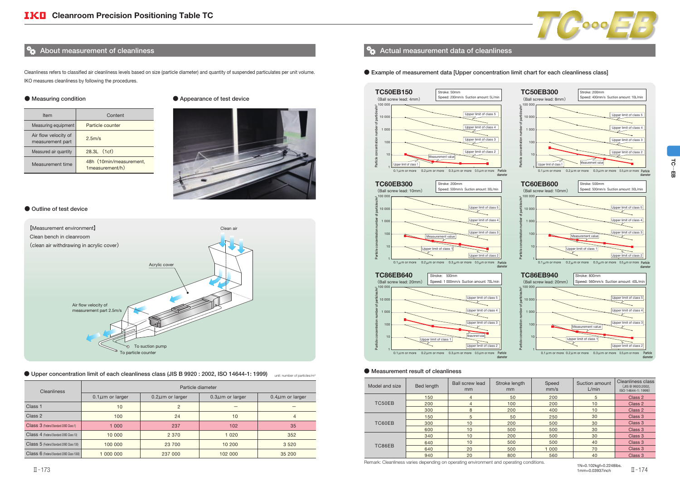Cleanliness refers to classified air cleanliness levels based on size (particle diameter) and quantity of suspended particulates per unit volume. IKO measures cleanliness by following the procedures.

#### ● Measuring condition

| Item                                     | Content                                    |
|------------------------------------------|--------------------------------------------|
| Measuring equipment                      | Particle counter                           |
| Air flow velocity of<br>measurement part | 2.5m/s                                     |
| Measured air quantity                    | $28.3L$ $(1cf)$                            |
| Measurement time                         | 48h (10min/measurement,<br>1measurement/h) |

#### ● Appearance of test device



#### ● Outline of test device

| Model and size | Bed length | <b>Ball screw lead</b><br>mm | Stroke length<br><sub>mm</sub> | Speed<br>mm/s | Suction amount<br>L/min | Cleanliness class<br>(JIS B 9920:2002,<br>ISO 14644-1: 1999) |
|----------------|------------|------------------------------|--------------------------------|---------------|-------------------------|--------------------------------------------------------------|
|                | 150        | 4                            | 50                             | 200           | 5                       | Class 2                                                      |
| TC50EB         | 200        | 4                            | 100                            | 200           | 10                      | Class 2                                                      |
|                | 300        | 8                            | 200                            | 400           | 10                      | Class 2                                                      |
|                | 150        | 5                            | 50                             | 250           | 30                      | Class 3                                                      |
| TC60EB         | 300        | 10                           | 200                            | 500           | 30                      | Class 3                                                      |
|                | 600        | 10                           | 500                            | 500           | 30                      | Class 3                                                      |
|                | 340        | 10                           | 200                            | 500           | 30                      | Class 3                                                      |
| TC86EB         | 640        | 10                           | 500                            | 500           | 40                      | Class 3                                                      |
|                | 640        | 20                           | 500                            | 1 0 0 0       | 70                      | Class 3                                                      |
|                | 940        | 20                           | 800                            | 560           | 40                      | Class 3                                                      |



#### ● Upper concentration limit of each cleanliness class (JIS B 9920 : 2002, ISO 14644-1: 1999) unit: number of particles/m<sup>3</sup>

| Cleanliness                                | Particle diameter                              |         |                       |                       |  |  |  |  |
|--------------------------------------------|------------------------------------------------|---------|-----------------------|-----------------------|--|--|--|--|
|                                            | $0.1 \mu m$ or larger<br>$0.2 \mu m$ or larger |         | $0.3 \mu$ m or larger | $0.4 \mu m$ or larger |  |  |  |  |
| Class <sub>1</sub>                         | 10                                             | 2       |                       |                       |  |  |  |  |
| Class 2                                    | 100                                            | 24      | 10                    | 4                     |  |  |  |  |
| Class 3 (Federal Standard 209D Class 1)    | 1 0 0 0                                        | 237     | 102                   | 35                    |  |  |  |  |
| Class 4 (Federal Standard 209D Class 10)   | 10 000                                         | 2 3 7 0 | 1 0 2 0               | 352                   |  |  |  |  |
| Class 5 (Federal Standard 209D Class 100)  | 23 700<br>100 000                              |         | 10 200                | 3 5 2 0               |  |  |  |  |
| Class 6 (Federal Standard 209D Class 1000) | 1 000 000                                      | 237 000 | 102 000               | 35 200                |  |  |  |  |

#### About measurement of cleanliness  $\mathbf{A}$  Actual measurement data of cleanliness





1N=0.102kgf=0.2248lbs. 1mm=0.03937inch  $\overline{\rm{H}}$  – 173  $\overline{\rm{H}}$  – 173  $\overline{\rm{H}}$  – 174  $\overline{\rm{H}}$  – 174  $\overline{\rm{H}}$ 

Remark: Cleanliness varies depending on operating environment and operating conditions.



#### ● Measurement result of cleanliness

#### ● Example of measurement data [Upper concentration limit chart for each cleanliness class]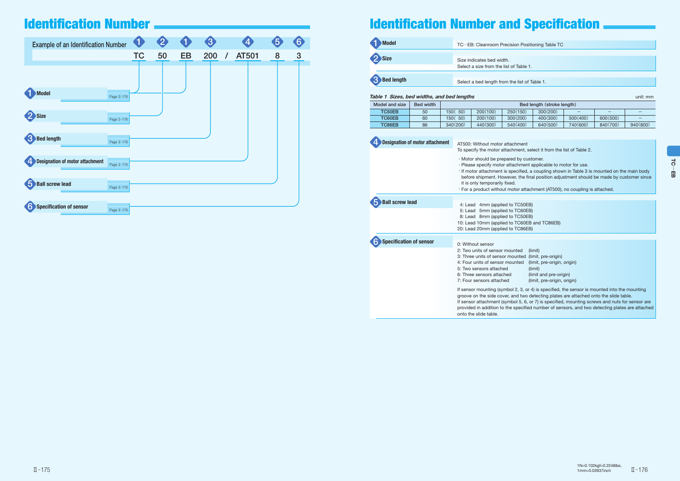| Model and size | Bed width | Bed length (stroke length) |          |          |          |                          |                          |          |
|----------------|-----------|----------------------------|----------|----------|----------|--------------------------|--------------------------|----------|
| TC50EB         | 50        | 50)<br>150(                | 200(100) | 250(150) | 300(200) | $\overline{\phantom{0}}$ | $\overline{\phantom{0}}$ |          |
| TC60EB         | 60        | 50)<br>150 (               | 200(100) | 300(200) | 400(300) | 500(400)                 | 600(500)                 |          |
| TC86EB         | 86        | 340(200)                   | 440(300) | 540(400) | 640(500) | 740(600)                 | 840(700)                 | 940(800) |

| <b>Example of an Identification Number</b>  |                                 | <b>AT</b> |    |           | $\overline{3}$ |                     |   | 6 |
|---------------------------------------------|---------------------------------|-----------|----|-----------|----------------|---------------------|---|---|
|                                             |                                 | <b>TC</b> | 50 | <b>EB</b> | 200            | AT501<br>$\sqrt{ }$ | 8 | 3 |
|                                             |                                 |           |    |           |                |                     |   |   |
| Model<br>Size                               | Page II-176<br>.<br>Page II-176 |           |    |           |                |                     |   |   |
| <b>Bed length</b><br><sup>3</sup>           | Page II-176                     |           |    |           |                |                     |   |   |
| <b>Designation of motor attachment</b><br>4 | Page II-176                     |           |    |           |                |                     |   |   |
| <b>Ball screw lead</b><br>5                 | Page II-176                     |           |    |           |                |                     |   |   |
| Specification of sensor                     | Page II-176                     |           |    |           |                |                     |   |   |

## Identification Number **Internation 2006** and Specification Number and Specification



| <b>Model</b>      | TC…EB: Cleanroom Precis       |
|-------------------|-------------------------------|
|                   |                               |
| 2 Size            | Size indicates bed width.     |
|                   | Select a size from the list o |
|                   |                               |
| <b>Bed length</b> | Select a bed length from th   |

#### Table 1 Sizes, bed widths, and bed lengths unit: manufactured with the state of the state unit: mm

| <b>Designation of motor attachment</b> | AT500: Without motor attach<br>To specify the motor attachm                                                                                                                                             |
|----------------------------------------|---------------------------------------------------------------------------------------------------------------------------------------------------------------------------------------------------------|
|                                        | · Motor should be prepared I<br>· Please specify motor attacl<br>· If motor attachment is spec<br>before shipment. However,<br>it is only temporarily fixed.<br>· For a product without moto            |
| <b>Ball screw lead</b>                 | 4: Lead 4mm (applied to T                                                                                                                                                                               |
|                                        | 5mm (applied to T<br>5: Lead<br>8: Lead 8mm (applied to T<br>10: Lead 10mm (applied to T<br>20: Lead 20mm (applied to T                                                                                 |
| <b>Specification of sensor</b>         |                                                                                                                                                                                                         |
|                                        | 0: Without sensor<br>2: Two units of sensor mount<br>3: Three units of sensor mour<br>4: Four units of sensor mount<br>5: Two sensors attached<br>6: Three sensors attached<br>7: Four sensors attached |
|                                        | If sensor mounting (symbol 2)<br>groove on the side cover, and<br>If sensor attachment (symbol<br>provided in addition to the sp<br>onto the slide table.                                               |

sion Positioning Table TC

#### of Table 1.

he list of Table 1.

iment

ment, select it from the list of Table 2.

by customer.

hment applicable to motor for use.

cified, a coupling shown in Table 3 is mounted on the main body , the final position adjustment should be made by customer since

or attachment (AT500), no coupling is attached.

TC50EB)

- $\overline{\text{IC60EB}}$
- $IC50EB$
- $TC60EB$  and  $TC86EB$ )
- TC86EB)

ted (limit) inted (limit, pre-origin) ted (limit, pre-origin, origin) (limit)  $($ limit and pre-origin $)$ (limit, pre-origin, origin)

2, 3, or 4) is specified, the sensor is mounted into the mounting d two detecting plates are attached onto the slide table.

I 5, 6, or 7) is specified, mounting screws and nuts for sensor are pecified number of sensors, and two detecting plates are attached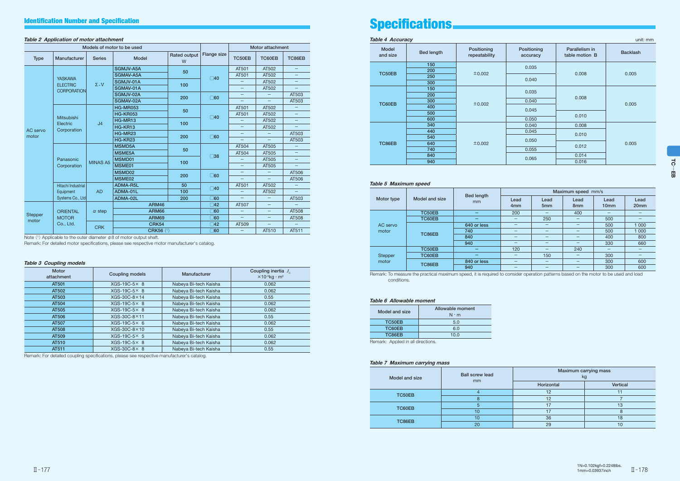#### Table 2 Application of motor attachment

| Models of motor to be used                         |                                   |                 |                  |                          |                    | Motor attachment  |                          |                          |
|----------------------------------------------------|-----------------------------------|-----------------|------------------|--------------------------|--------------------|-------------------|--------------------------|--------------------------|
| <b>Type</b>                                        | Manufacturer                      | <b>Series</b>   | <b>Model</b>     | <b>Rated output</b><br>W | <b>Flange size</b> | TC50EB            | TC60EB                   | TC86EB                   |
|                                                    |                                   |                 | <b>SGMJV-A5A</b> | 50                       |                    | AT501             | AT502                    | —                        |
|                                                    |                                   |                 | SGMAV-A5A        |                          | $\square$ 40       | AT501             | AT502                    |                          |
|                                                    | <b>YASKAWA</b><br><b>ELECTRIC</b> | $\Sigma - V$    | SGMJV-01A        | 100                      |                    | -                 | AT502                    |                          |
|                                                    | <b>CORPORATION</b>                |                 | SGMAV-01A        |                          |                    | $\qquad \qquad -$ | AT502                    |                          |
|                                                    |                                   |                 | SGMJV-02A        | 200                      |                    | $\qquad \qquad -$ |                          | AT503                    |
| <b>Mitsubishi</b><br>Electric<br>AC servo<br>motor |                                   |                 | SGMAV-02A        |                          | $\Box$ 60          |                   |                          | AT503                    |
|                                                    |                                   |                 | <b>HG-MR053</b>  | 50                       |                    | AT501             | AT502                    |                          |
|                                                    |                                   |                 | <b>HG-KR053</b>  |                          | $\square$ 40       | AT501             | AT502                    |                          |
|                                                    |                                   | J <sub>4</sub>  | HG-MR13          | 100                      |                    |                   | AT502                    | $\overline{\phantom{0}}$ |
|                                                    | Corporation                       |                 | HG-KR13          |                          |                    | $\qquad \qquad -$ | AT502                    |                          |
|                                                    |                                   |                 | HG-MR23          | 200                      | $\square$ 60       | $\qquad \qquad -$ | $\overline{\phantom{0}}$ | AT503                    |
|                                                    |                                   |                 | HG-KR23          |                          |                    |                   |                          | AT503                    |
|                                                    | Panasonic                         |                 | <b>MSMD5A</b>    | 50                       | $\square$ 38       | AT504             | AT505                    |                          |
|                                                    |                                   |                 | <b>MSME5A</b>    |                          |                    | AT504             | AT505                    |                          |
|                                                    |                                   | <b>MINAS A5</b> | MSMD01           | 100                      |                    |                   | AT505                    | $\overline{\phantom{0}}$ |
|                                                    | Corporation                       |                 | MSME01           |                          |                    | -                 | AT505                    | —                        |
|                                                    |                                   |                 | MSMD02           | 200                      | $\Box$ 60          |                   |                          | AT506                    |
|                                                    |                                   |                 | MSME02           |                          |                    |                   |                          | AT506                    |
|                                                    | Hitachi Industrial                |                 | ADMA-R5L         | 50                       | $\square$ 40       | AT501             | AT502                    |                          |
|                                                    | Equipment                         | <b>AD</b>       | ADMA-01L         | 100                      |                    |                   | AT502                    |                          |
|                                                    | Systems Co., Ltd                  |                 | ADMA-02L         | 200                      | $\Box$ 60          |                   |                          | AT503                    |
|                                                    |                                   |                 | <b>ARM46</b>     |                          | $\Box 42$          | AT507             | —                        |                          |
| <b>Stepper</b>                                     | <b>ORIENTAL</b>                   | $\alpha$ step   | <b>ARM66</b>     |                          | $\square$ 60       | -                 | $\qquad \qquad -$        | AT508                    |
| motor                                              | <b>MOTOR</b>                      |                 | <b>ARM69</b>     |                          | $\square$ 60       | $\qquad \qquad -$ | —                        | AT508                    |
|                                                    | Co., Ltd.                         | <b>CRK</b>      | <b>CRK54</b>     |                          | $\square$ 42       | AT509             |                          |                          |
|                                                    |                                   |                 | <b>CRK56 (1)</b> |                          | $\overline{0}$ 60  |                   | AT510                    | AT511                    |

Note  $(1)$  Applicable to the outer diameter  $\phi$ 8 of motor output shaft.

Remark: For detailed motor specifications, please see respective motor manufacturer's catalog.

#### Table 3 Coupling models

| <b>Motor</b><br>attachment | <b>Coupling models</b> | Manufacturer          | Coupling inertia $J_c$<br>$\times$ 10 <sup>-5</sup> kg · m <sup>2</sup> |
|----------------------------|------------------------|-----------------------|-------------------------------------------------------------------------|
| AT501                      | $XGS-19C-5\times 8$    | Nabeya Bi-tech Kaisha | 0.062                                                                   |
| AT502                      | $XGS-19C-5\times 8$    | Nabeya Bi-tech Kaisha | 0.062                                                                   |
| AT503                      | $XGS-30C-8\times14$    | Nabeya Bi-tech Kaisha | 0.55                                                                    |
| AT504                      | $XGS-19C-5\times 8$    | Nabeya Bi-tech Kaisha | 0.062                                                                   |
| AT505                      | $XGS-19C-5\times 8$    | Nabeya Bi-tech Kaisha | 0.062                                                                   |
| AT506                      | $XGS-30C-8\times11$    | Nabeya Bi-tech Kaisha | 0.55                                                                    |
| AT507                      | $XGS-19C-5\times 6$    | Nabeya Bi-tech Kaisha | 0.062                                                                   |
| AT508                      | $XGS-30C-8\times10$    | Nabeya Bi-tech Kaisha | 0.55                                                                    |
| AT509                      | $XGS-19C-5\times 5$    | Nabeya Bi-tech Kaisha | 0.062                                                                   |
| AT510                      | $XGS-19C-5\times 8$    | Nabeya Bi-tech Kaisha | 0.062                                                                   |
| AT511                      | $XGS-30C-8\times 8$    | Nabeya Bi-tech Kaisha | 0.55                                                                    |

Remark: For detailed coupling specifications, please see respective manufacturer's catalog.

## Identification Number and Specification **Specification** Specifications.

Table 4 Accuracy unit: mm

| Model<br>and size | <b>Bed length</b> | Positioning<br>repeatability | Positioning<br>accuracy | Parallelism in<br>table motion B | <b>Backlash</b> |  |
|-------------------|-------------------|------------------------------|-------------------------|----------------------------------|-----------------|--|
|                   | 150               |                              | 0.035                   |                                  |                 |  |
| TC50EB            | 200               | ±0.002                       |                         | 0.008                            | 0.005           |  |
|                   | 250               |                              | 0.040                   |                                  |                 |  |
|                   | 300               |                              |                         |                                  |                 |  |
|                   | 150               |                              | 0.035                   |                                  | 0.005           |  |
|                   | 200               | ±0.002                       |                         | 0.008                            |                 |  |
| TC60EB            | 300               |                              | 0.040                   |                                  |                 |  |
|                   | 400               |                              | 0.045                   |                                  |                 |  |
|                   | 500               |                              |                         | 0.010                            |                 |  |
|                   | 600               |                              | 0.050                   |                                  |                 |  |
|                   | 340               |                              | 0.040                   | 0.008                            |                 |  |
|                   | 440               |                              | 0.045                   | 0.010                            | 0.005           |  |
|                   | 540               |                              | 0.050                   |                                  |                 |  |
| TC86EB            | 640               | ±0.002                       |                         | 0.012                            |                 |  |
|                   | 740               |                              | 0.055                   |                                  |                 |  |
|                   | 840               |                              |                         | 0.014                            |                 |  |
|                   | 940               |                              | 0.065                   | 0.016                            |                 |  |

#### Table 5 Maximum speed

|                |                |                             | Maximum speed mm/s       |                          |                          |                          |                          |  |  |
|----------------|----------------|-----------------------------|--------------------------|--------------------------|--------------------------|--------------------------|--------------------------|--|--|
| Motor type     | Model and size | Bed length<br><sub>mm</sub> | Lead<br>4 <sub>mm</sub>  | Lead<br>5 <sub>mm</sub>  | Lead<br>8 <sub>mm</sub>  | Lead<br>10 <sub>mm</sub> | Lead<br>20 <sub>mm</sub> |  |  |
|                | TC50EB         | –                           | 200                      | $\overline{\phantom{0}}$ | 400                      | $\overline{\phantom{0}}$ |                          |  |  |
|                | TC60EB         |                             | —                        | 250                      | –                        | 500                      |                          |  |  |
| AC servo       | TC86EB         | 640 or less                 | $\overline{\phantom{m}}$ | $\overline{\phantom{m}}$ | $\overline{\phantom{0}}$ | 500                      | 1 0 0 0                  |  |  |
| motor          |                | 740                         |                          | –                        | –                        | 500                      | 1 000                    |  |  |
|                |                | 840                         |                          |                          |                          | 400                      | 800                      |  |  |
|                |                | 940                         | —                        | $\overline{\phantom{0}}$ | $\overline{\phantom{0}}$ | 330                      | 660                      |  |  |
|                | TC50EB         |                             | 120                      | –                        | 240                      |                          |                          |  |  |
| <b>Stepper</b> | TC60EB         | -                           | —                        | 150                      | $\overline{\phantom{0}}$ | 300                      |                          |  |  |
| motor          | TC86EB         | 840 or less                 |                          | $\overline{\phantom{0}}$ | –                        | 300                      | 600                      |  |  |
|                |                | 940                         | –                        | –                        | –                        | 300                      | 600                      |  |  |

Remark: To measure the practical maximum speed, it is required to consider operation patterns based on the motor to be used and load conditions.

#### Table 6 Allowable moment

| Model and size | Allowable moment<br>$N \cdot m$ |
|----------------|---------------------------------|
| TC50EB         | 5.0                             |
| TC60EB         | 6.0                             |
| TC86EB         | 10.0                            |
|                |                                 |

Remark: Applied in all directions.

#### Table 7 Maximum carrying mass

| Model and size | <b>Ball screw lead</b> | Maximum carrying mass<br>kg |          |  |
|----------------|------------------------|-----------------------------|----------|--|
|                | mm                     | Horizontal                  | Vertical |  |
| TC50EB         |                        | 12                          |          |  |
|                | o                      | 12                          |          |  |
| TC60EB         |                        |                             | 13       |  |
|                | 10                     |                             | 8        |  |
| TC86EB         | 10                     | 36                          | 18       |  |
|                | 20                     | 29                          | 10       |  |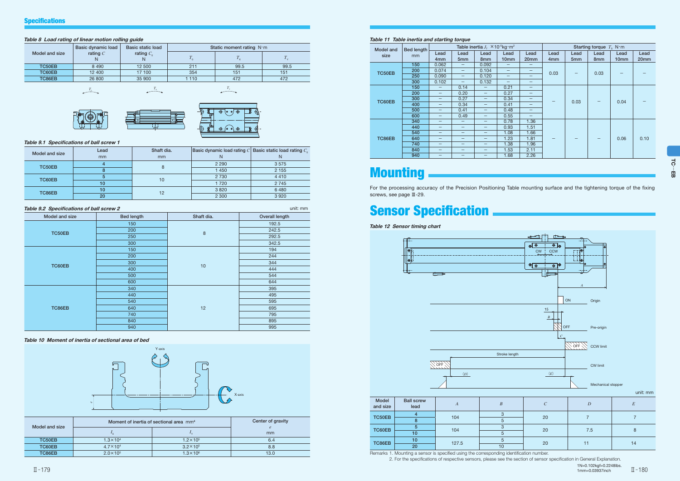#### Table 11 Table inertia and starting torque

| <b>Model and</b> | Bed length | Table inertia $J_{\tau} \times 10^{-5}$ kg·m <sup>2</sup> |                          |                                |                   | Starting torque $T_s$ N·m |                 |                 |                 |                  |                  |
|------------------|------------|-----------------------------------------------------------|--------------------------|--------------------------------|-------------------|---------------------------|-----------------|-----------------|-----------------|------------------|------------------|
| size             | mm         | Lead                                                      | Lead                     | Lead                           | Lead              | Lead                      | Lead            | Lead            | Lead            | Lead             | Lead             |
|                  |            | 4 <sub>mm</sub>                                           | 5 <sub>mm</sub>          | 8 <sub>mm</sub>                | 10 <sub>mm</sub>  | 20 <sub>mm</sub>          | 4 <sub>mm</sub> | 5 <sub>mm</sub> | 8 <sub>mm</sub> | 10 <sub>mm</sub> | 20 <sub>mm</sub> |
|                  | 150        | 0.062                                                     | —                        | 0.092                          | -                 | -                         |                 |                 |                 |                  |                  |
| TC50EB           | 200        | 0.074                                                     | —                        | 0.104                          | -                 | -                         | 0.03            |                 | 0.03            |                  |                  |
|                  | 250        | 0.090                                                     | —                        | 0.120                          | —                 | $\qquad \qquad -$         |                 |                 |                 |                  |                  |
|                  | 300        | 0.102                                                     | —                        | 0.132                          | $\qquad \qquad -$ | $\qquad \qquad -$         |                 |                 |                 |                  |                  |
|                  | 150        | —                                                         | 0.14                     | $\qquad \qquad$                | 0.21              | -                         |                 |                 |                 |                  |                  |
|                  | 200        | $\qquad \qquad -$                                         | 0.20                     | $\qquad \qquad -$              | 0.27              | $\overline{\phantom{m}}$  |                 |                 |                 |                  |                  |
| TC60EB           | 300        | —                                                         | 0.27                     | $\qquad \qquad$                | 0.34              | $\overline{\phantom{m}}$  | 0.03            |                 |                 | 0.04             |                  |
|                  | 400        | —                                                         | 0.34                     | $\overline{\phantom{0}}$       | 0.41              | $\qquad \qquad -$         |                 |                 |                 |                  |                  |
|                  | 500        | —                                                         | 0.41                     |                                | 0.48              | $\overline{\phantom{0}}$  |                 |                 |                 |                  |                  |
|                  | 600        | —                                                         | 0.49                     | $\qquad \qquad \longleftarrow$ | 0.55              | $\qquad \qquad -$         |                 |                 |                 |                  |                  |
|                  | 340        | —                                                         |                          |                                | 0.78              | 1.36                      |                 |                 |                 |                  |                  |
|                  | 440        | —                                                         | –                        | $\qquad \qquad \longleftarrow$ | 0.93              | 1.51                      |                 |                 |                 |                  |                  |
|                  | 540        | —                                                         | –                        | —                              | 1.08              | 1.66                      |                 |                 |                 |                  |                  |
| TC86EB           | 640        | —                                                         | –                        | -                              | 1.23              | 1.81                      |                 |                 |                 | 0.06             | 0.10             |
|                  | 740        | —                                                         | $\overline{\phantom{0}}$ |                                | 1.38              | 1.96                      |                 |                 |                 |                  |                  |
|                  | 840        | —                                                         | –                        |                                | 1.53              | 2.11                      |                 |                 |                 |                  |                  |
|                  | 940        | -                                                         | —                        | -                              | 1.68              | 2.26                      |                 |                 |                 |                  |                  |

## **Mounting**

1N=0.102kgf=0.2248lbs. 1mm=0.03937inch Ⅱ̶179 Ⅱ̶180

Table 12 Sensor timing chart

Remarks 1. Mounting a sensor is specified using the corresponding identification number.

2. For the specifications of respective sensors, please see the section of sensor specification in General Explanation.



## Sensor Specification

#### Table 10 Moment of inertia of sectional area of bed

| Model and size | Moment of inertia of sectional area mm <sup>4</sup> | Center of gravity   |      |
|----------------|-----------------------------------------------------|---------------------|------|
|                |                                                     | $1_V$               | mm   |
| TC50EB         | $1.3 \times 10^{4}$                                 | $1.2 \times 10^{5}$ | 6.4  |
| TC60EB         | $4.7 \times 10^{4}$                                 | $3.2 \times 10^5$   | 8.8  |
| TC86EB         | $2.0 \times 10^{5}$                                 | $1.3 \times 10^{6}$ | 13.0 |



#### Table 9.1 Specifications of ball screw 1

| Model and size | Lead<br>mm | Shaft dia.<br>mm | Basic dynamic load rating $C$ Basic static load rating $C_{0}$ |         |
|----------------|------------|------------------|----------------------------------------------------------------|---------|
| TC50EB         |            |                  | 2 2 9 0                                                        | 3575    |
|                |            |                  | 1450                                                           | 2 1 5 5 |
| TC60EB         |            | 10               | 2 7 3 0                                                        | 4 4 1 0 |
|                | 10         |                  | 1720                                                           | 2 7 4 5 |
| TC86EB         | 10         | 12               | 3820                                                           | 6 4 8 0 |
|                | 20         |                  | 2 3 0 0                                                        | 3 9 2 0 |

#### Table 9.2 Specifications of ball screw 2 unit: mm

| Model and size | <b>Bed length</b> | Shaft dia. | Overall length |
|----------------|-------------------|------------|----------------|
|                | 150               |            | 192.5          |
| TC50EB         | 200               | $\bf 8$    | 242.5          |
|                | 250               |            | 292.5          |
|                | 300               |            | 342.5          |
|                | 150               |            | 194            |
|                | 200               |            | 244            |
| TC60EB         | 300               | 10         | 344            |
|                | 400               |            | 444            |
|                | 500               |            | 544            |
|                | 600               |            | 644            |
|                | 340               |            | 395            |
|                | 440               |            | 495            |
|                | 540               |            | 595            |
| TC86EB         | 640               | 12         | 695            |
|                | 740               |            | 795            |
|                | 840               |            | 895            |
|                | 940               |            | 995            |

#### Table 8 Load rating of linear motion rolling guide

|                | Basic dynamic load | Basic static load |      | Static moment rating $N \cdot m$ |       |  |
|----------------|--------------------|-------------------|------|----------------------------------|-------|--|
| Model and size | rating $C$         | rating $C_0$<br>N |      |                                  | $1_v$ |  |
| TC50EB         | 8 4 9 0            | 12 500            | 211  | 99.5                             | 99.5  |  |
| TC60EB         | 12 400             | 17 100            | 354  | 151                              | 151   |  |
| TC86EB         | 26 800             | 35 900            | 1110 | 472                              | 472   |  |
|                |                    |                   |      |                                  |       |  |

$$
\overbrace{\hspace{2.5cm}}^{T_{\mathrm{o}}}
$$









For the processing accuracy of the Precision Positioning Table mounting surface and the tightening torque of the fixing screws, see page Ⅲ-29.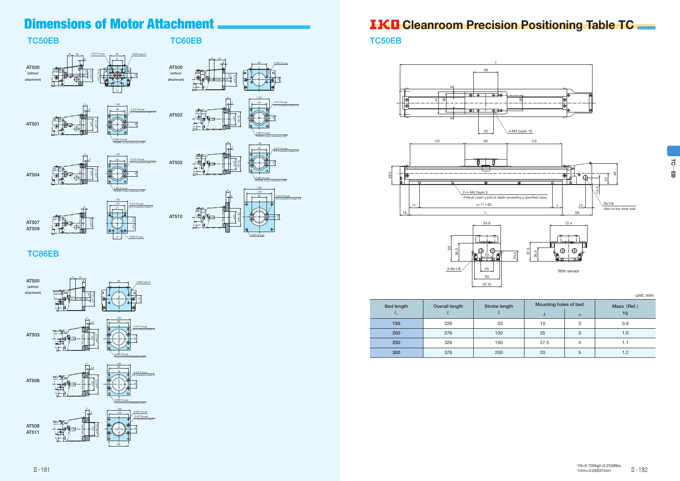## Dimensions of Motor Attachment **Communist Cleanroom Precision Positioning Table TC**

### TC50EB TC60EB

AT502

白色<br>山画

### TC86EB









PCD45, Evenly distributed at 90°







 $5.5$  Counterbox









ನ …EB

TC50EB

unit: mm

| <b>Bed length</b> | Overall length | Stroke length | Mounting holes of bed |                  | Mass (Ref.) |
|-------------------|----------------|---------------|-----------------------|------------------|-------------|
| $L_{1}$           | L              |               | $\boldsymbol{A}$      | $\boldsymbol{n}$ | kg          |
| 150               | 226            | 50            | 10                    | $\circ$<br>c     | 0.9         |
| 200               | 276            | 100           | 35                    | 3                | 1.0         |
| 250               | 326            | 150           | 27.5                  | 4                | 1.1         |
| 300               | 376            | 200           | 20                    | 5                | 1.2         |